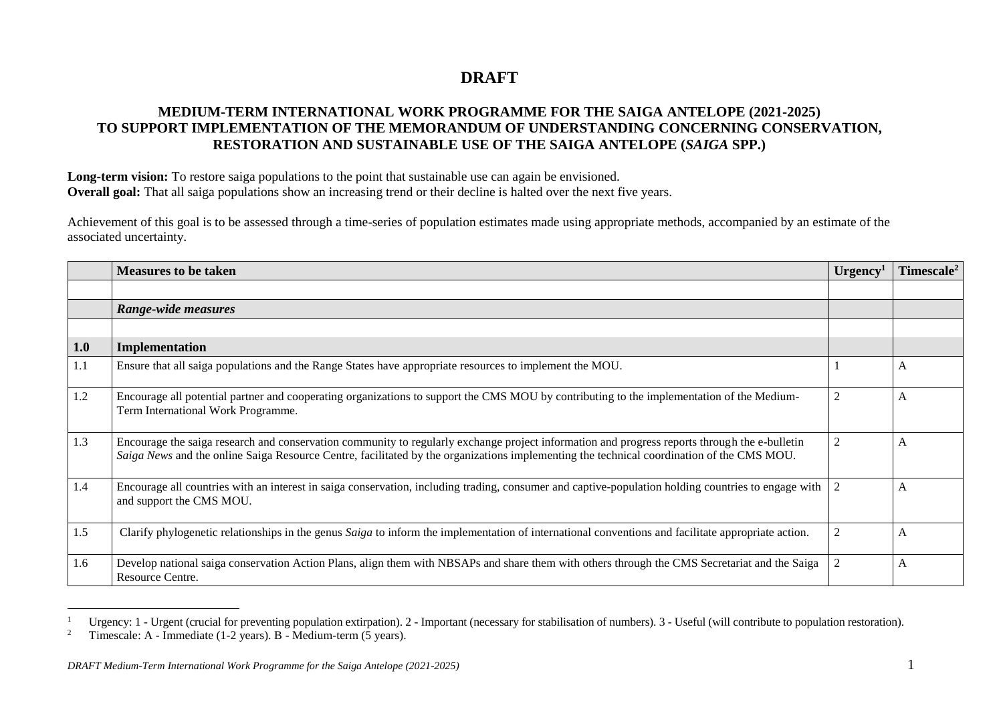## **DRAFT**

## **MEDIUM-TERM INTERNATIONAL WORK PROGRAMME FOR THE SAIGA ANTELOPE (2021-2025) TO SUPPORT IMPLEMENTATION OF THE MEMORANDUM OF UNDERSTANDING CONCERNING CONSERVATION, RESTORATION AND SUSTAINABLE USE OF THE SAIGA ANTELOPE (***SAIGA* **SPP.)**

Long-term vision: To restore saiga populations to the point that sustainable use can again be envisioned. **Overall goal:** That all saiga populations show an increasing trend or their decline is halted over the next five years.

Achievement of this goal is to be assessed through a time-series of population estimates made using appropriate methods, accompanied by an estimate of the associated uncertainty.

|     | <b>Measures to be taken</b>                                                                                                                                                                                                                                                                | Urgency <sup>1</sup> | $\rm{Timescale}^2$ |
|-----|--------------------------------------------------------------------------------------------------------------------------------------------------------------------------------------------------------------------------------------------------------------------------------------------|----------------------|--------------------|
|     |                                                                                                                                                                                                                                                                                            |                      |                    |
|     | Range-wide measures                                                                                                                                                                                                                                                                        |                      |                    |
|     |                                                                                                                                                                                                                                                                                            |                      |                    |
| 1.0 | Implementation                                                                                                                                                                                                                                                                             |                      |                    |
| 1.1 | Ensure that all saiga populations and the Range States have appropriate resources to implement the MOU.                                                                                                                                                                                    |                      | A                  |
| 1.2 | Encourage all potential partner and cooperating organizations to support the CMS MOU by contributing to the implementation of the Medium-<br>Term International Work Programme.                                                                                                            | 2                    | A                  |
| 1.3 | Encourage the saiga research and conservation community to regularly exchange project information and progress reports through the e-bulletin<br>Saiga News and the online Saiga Resource Centre, facilitated by the organizations implementing the technical coordination of the CMS MOU. | $\overline{c}$       | A                  |
| 1.4 | Encourage all countries with an interest in saiga conservation, including trading, consumer and captive-population holding countries to engage with<br>and support the CMS MOU.                                                                                                            | 2                    | A                  |
| 1.5 | Clarify phylogenetic relationships in the genus Saiga to inform the implementation of international conventions and facilitate appropriate action.                                                                                                                                         | 2                    | A                  |
| 1.6 | Develop national saiga conservation Action Plans, align them with NBSAPs and share them with others through the CMS Secretariat and the Saiga<br>Resource Centre.                                                                                                                          | $\overline{c}$       | A                  |

<sup>&</sup>lt;sup>1</sup> Urgency: 1 - Urgent (crucial for preventing population extirpation). 2 - Important (necessary for stabilisation of numbers). 3 - Useful (will contribute to population restoration).

 $\overline{a}$ 

<sup>2</sup> Timescale: A - Immediate (1-2 years). B - Medium-term (5 years).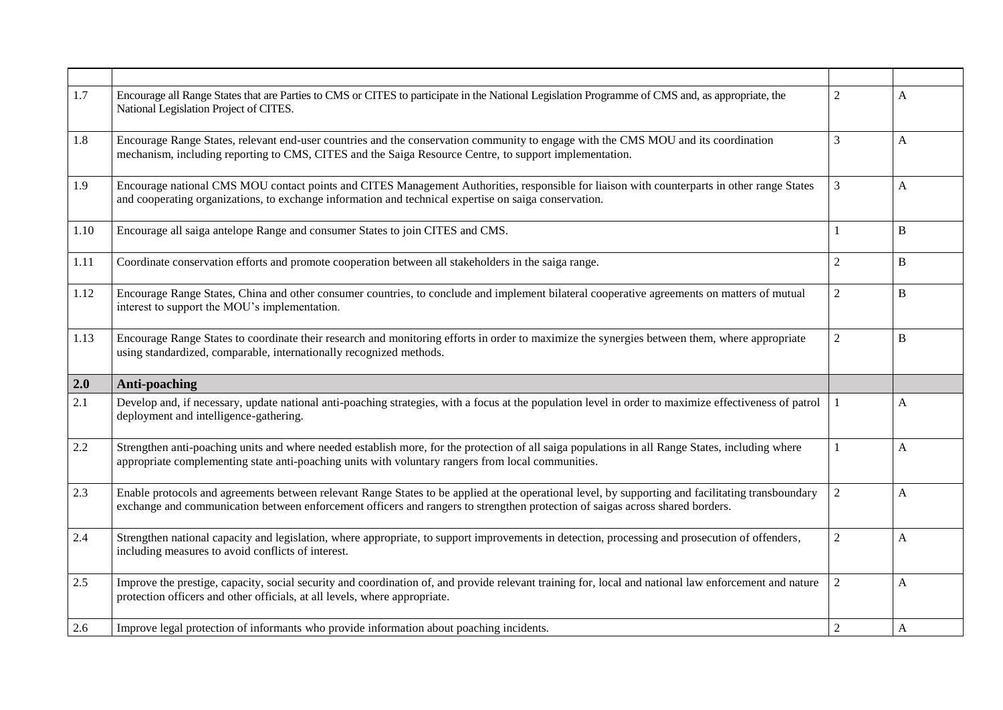| 1.7  | Encourage all Range States that are Parties to CMS or CITES to participate in the National Legislation Programme of CMS and, as appropriate, the<br>National Legislation Project of CITES.                                                                                          | $\overline{2}$ | A                         |
|------|-------------------------------------------------------------------------------------------------------------------------------------------------------------------------------------------------------------------------------------------------------------------------------------|----------------|---------------------------|
| 1.8  | Encourage Range States, relevant end-user countries and the conservation community to engage with the CMS MOU and its coordination<br>mechanism, including reporting to CMS, CITES and the Saiga Resource Centre, to support implementation.                                        | $\overline{3}$ | A                         |
| 1.9  | Encourage national CMS MOU contact points and CITES Management Authorities, responsible for liaison with counterparts in other range States<br>and cooperating organizations, to exchange information and technical expertise on saiga conservation.                                | $\mathfrak{Z}$ | A                         |
| 1.10 | Encourage all saiga antelope Range and consumer States to join CITES and CMS.                                                                                                                                                                                                       | 1              | B                         |
| 1.11 | Coordinate conservation efforts and promote cooperation between all stakeholders in the saiga range.                                                                                                                                                                                | $\overline{2}$ | B                         |
| 1.12 | Encourage Range States, China and other consumer countries, to conclude and implement bilateral cooperative agreements on matters of mutual<br>interest to support the MOU's implementation.                                                                                        | $\sqrt{2}$     | B                         |
| 1.13 | Encourage Range States to coordinate their research and monitoring efforts in order to maximize the synergies between them, where appropriate<br>using standardized, comparable, internationally recognized methods.                                                                | $\sqrt{2}$     | B                         |
| 2.0  | <b>Anti-poaching</b>                                                                                                                                                                                                                                                                |                |                           |
| 2.1  | Develop and, if necessary, update national anti-poaching strategies, with a focus at the population level in order to maximize effectiveness of patrol<br>deployment and intelligence-gathering.                                                                                    | 1              | A                         |
| 2.2  | Strengthen anti-poaching units and where needed establish more, for the protection of all saiga populations in all Range States, including where<br>appropriate complementing state anti-poaching units with voluntary rangers from local communities.                              | 1              | A                         |
|      |                                                                                                                                                                                                                                                                                     |                |                           |
| 2.3  | Enable protocols and agreements between relevant Range States to be applied at the operational level, by supporting and facilitating transboundary<br>exchange and communication between enforcement officers and rangers to strengthen protection of saigas across shared borders. | $\sqrt{2}$     | $\boldsymbol{\mathsf{A}}$ |
| 2.4  | Strengthen national capacity and legislation, where appropriate, to support improvements in detection, processing and prosecution of offenders,<br>including measures to avoid conflicts of interest.                                                                               | $\sqrt{2}$     | $\boldsymbol{\mathsf{A}}$ |
| 2.5  | Improve the prestige, capacity, social security and coordination of, and provide relevant training for, local and national law enforcement and nature<br>protection officers and other officials, at all levels, where appropriate.                                                 | $\overline{2}$ | A                         |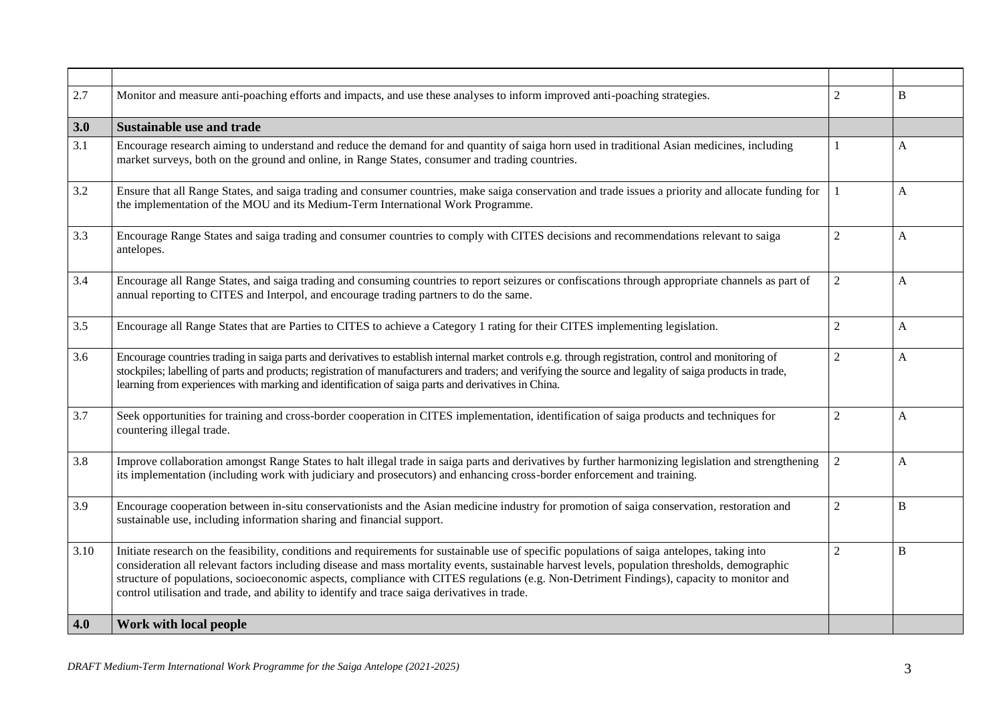| 2.7  | Monitor and measure anti-poaching efforts and impacts, and use these analyses to inform improved anti-poaching strategies.                                                                                                                                                                                                                                                                                                                                                                                                                   | $\overline{2}$ | B                         |
|------|----------------------------------------------------------------------------------------------------------------------------------------------------------------------------------------------------------------------------------------------------------------------------------------------------------------------------------------------------------------------------------------------------------------------------------------------------------------------------------------------------------------------------------------------|----------------|---------------------------|
| 3.0  | <b>Sustainable use and trade</b>                                                                                                                                                                                                                                                                                                                                                                                                                                                                                                             |                |                           |
| 3.1  | Encourage research aiming to understand and reduce the demand for and quantity of saiga horn used in traditional Asian medicines, including<br>market surveys, both on the ground and online, in Range States, consumer and trading countries.                                                                                                                                                                                                                                                                                               | 1              | A                         |
| 3.2  | Ensure that all Range States, and saiga trading and consumer countries, make saiga conservation and trade issues a priority and allocate funding for<br>the implementation of the MOU and its Medium-Term International Work Programme.                                                                                                                                                                                                                                                                                                      | $\mathbf{1}$   | A                         |
| 3.3  | Encourage Range States and saiga trading and consumer countries to comply with CITES decisions and recommendations relevant to saiga<br>antelopes.                                                                                                                                                                                                                                                                                                                                                                                           | $\overline{2}$ | $\mathbf{A}$              |
| 3.4  | Encourage all Range States, and saiga trading and consuming countries to report seizures or confiscations through appropriate channels as part of<br>annual reporting to CITES and Interpol, and encourage trading partners to do the same.                                                                                                                                                                                                                                                                                                  | $\overline{2}$ | $\mathbf{A}$              |
| 3.5  | Encourage all Range States that are Parties to CITES to achieve a Category 1 rating for their CITES implementing legislation.                                                                                                                                                                                                                                                                                                                                                                                                                | $\sqrt{2}$     | A                         |
| 3.6  | Encourage countries trading in saiga parts and derivatives to establish internal market controls e.g. through registration, control and monitoring of<br>stockpiles; labelling of parts and products; registration of manufacturers and traders; and verifying the source and legality of saiga products in trade,<br>learning from experiences with marking and identification of saiga parts and derivatives in China.                                                                                                                     | $\sqrt{2}$     | $\mathbf{A}$              |
| 3.7  | Seek opportunities for training and cross-border cooperation in CITES implementation, identification of saiga products and techniques for<br>countering illegal trade.                                                                                                                                                                                                                                                                                                                                                                       | $\mathfrak{2}$ | A                         |
| 3.8  | Improve collaboration amongst Range States to halt illegal trade in saiga parts and derivatives by further harmonizing legislation and strengthening<br>its implementation (including work with judiciary and prosecutors) and enhancing cross-border enforcement and training.                                                                                                                                                                                                                                                              | $\overline{c}$ | $\boldsymbol{\mathsf{A}}$ |
| 3.9  | Encourage cooperation between in-situ conservationists and the Asian medicine industry for promotion of saiga conservation, restoration and<br>sustainable use, including information sharing and financial support.                                                                                                                                                                                                                                                                                                                         | $\overline{2}$ | $\bf{B}$                  |
| 3.10 | Initiate research on the feasibility, conditions and requirements for sustainable use of specific populations of saiga antelopes, taking into<br>consideration all relevant factors including disease and mass mortality events, sustainable harvest levels, population thresholds, demographic<br>structure of populations, socioeconomic aspects, compliance with CITES regulations (e.g. Non-Detriment Findings), capacity to monitor and<br>control utilisation and trade, and ability to identify and trace saiga derivatives in trade. | $\overline{c}$ | $\bf{B}$                  |
| 4.0  | Work with local people                                                                                                                                                                                                                                                                                                                                                                                                                                                                                                                       |                |                           |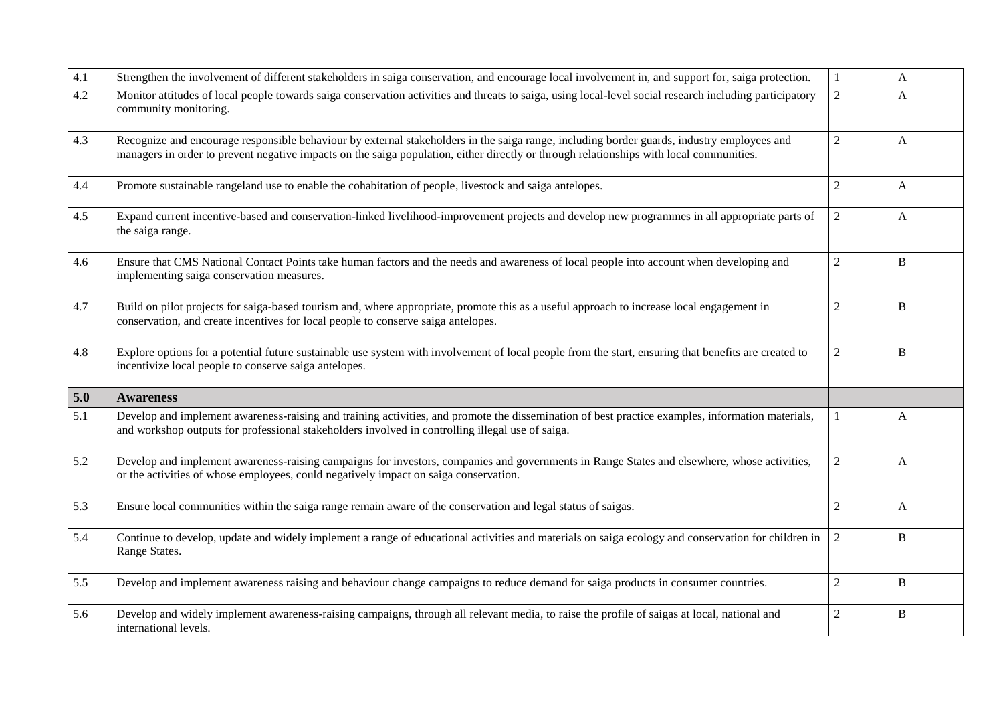| 4.1 | Strengthen the involvement of different stakeholders in saiga conservation, and encourage local involvement in, and support for, saiga protection.                                                                                                                                    |                | $\mathbf{A}$ |
|-----|---------------------------------------------------------------------------------------------------------------------------------------------------------------------------------------------------------------------------------------------------------------------------------------|----------------|--------------|
| 4.2 | Monitor attitudes of local people towards saiga conservation activities and threats to saiga, using local-level social research including participatory<br>community monitoring.                                                                                                      | $\overline{2}$ | A            |
| 4.3 | Recognize and encourage responsible behaviour by external stakeholders in the saiga range, including border guards, industry employees and<br>managers in order to prevent negative impacts on the saiga population, either directly or through relationships with local communities. | $\overline{2}$ | $\mathbf{A}$ |
| 4.4 | Promote sustainable rangeland use to enable the cohabitation of people, livestock and saiga antelopes.                                                                                                                                                                                | $\overline{2}$ | $\mathbf{A}$ |
| 4.5 | Expand current incentive-based and conservation-linked livelihood-improvement projects and develop new programmes in all appropriate parts of<br>the saiga range.                                                                                                                     | $\overline{2}$ | A            |
| 4.6 | Ensure that CMS National Contact Points take human factors and the needs and awareness of local people into account when developing and<br>implementing saiga conservation measures.                                                                                                  | $\overline{2}$ | B            |
| 4.7 | Build on pilot projects for saiga-based tourism and, where appropriate, promote this as a useful approach to increase local engagement in<br>conservation, and create incentives for local people to conserve saiga antelopes.                                                        | $\overline{2}$ | $\bf{B}$     |
| 4.8 | Explore options for a potential future sustainable use system with involvement of local people from the start, ensuring that benefits are created to<br>incentivize local people to conserve saiga antelopes.                                                                         | $\overline{2}$ | B            |
| 5.0 | <b>Awareness</b>                                                                                                                                                                                                                                                                      |                |              |
| 5.1 | Develop and implement awareness-raising and training activities, and promote the dissemination of best practice examples, information materials,<br>and workshop outputs for professional stakeholders involved in controlling illegal use of saiga.                                  |                | A            |
| 5.2 | Develop and implement awareness-raising campaigns for investors, companies and governments in Range States and elsewhere, whose activities,<br>or the activities of whose employees, could negatively impact on saiga conservation.                                                   | $\overline{2}$ | $\mathbf{A}$ |
| 5.3 | Ensure local communities within the saiga range remain aware of the conservation and legal status of saigas.                                                                                                                                                                          | $\overline{2}$ | A            |
| 5.4 | Continue to develop, update and widely implement a range of educational activities and materials on saiga ecology and conservation for children in<br>Range States.                                                                                                                   | $\overline{2}$ | B            |
| 5.5 | Develop and implement awareness raising and behaviour change campaigns to reduce demand for saiga products in consumer countries.                                                                                                                                                     | $\overline{2}$ | B            |
| 5.6 | Develop and widely implement awareness-raising campaigns, through all relevant media, to raise the profile of saigas at local, national and<br>international levels.                                                                                                                  | $\overline{2}$ | B            |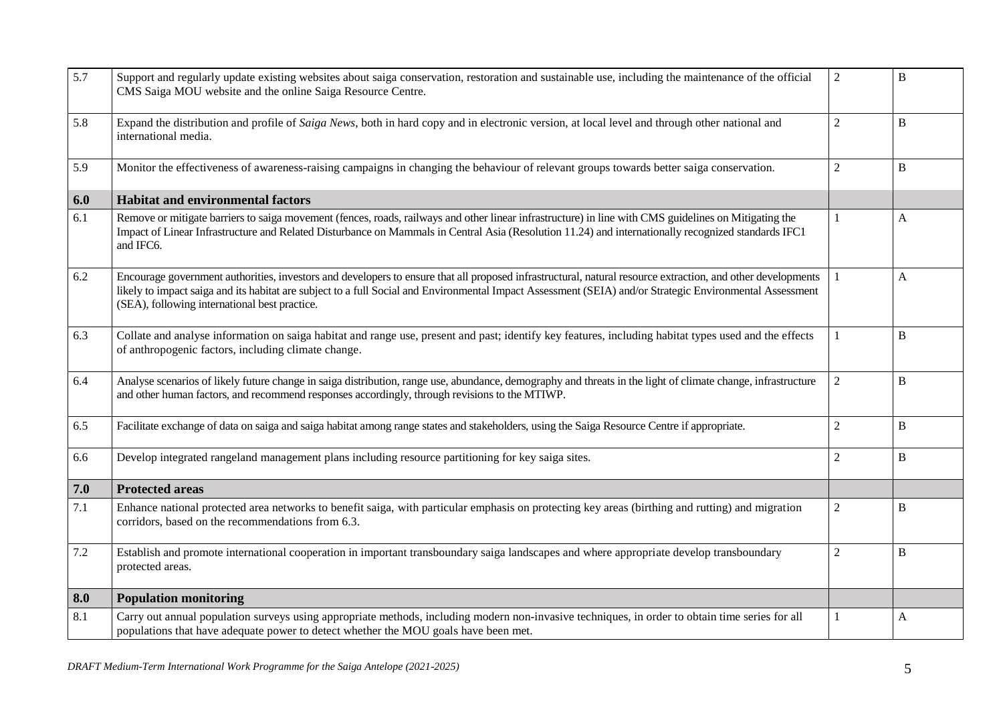| 5.7 | Support and regularly update existing websites about saiga conservation, restoration and sustainable use, including the maintenance of the official<br>CMS Saiga MOU website and the online Saiga Resource Centre.                                                                                                                                                       | $\overline{c}$ | $\bf{B}$       |
|-----|--------------------------------------------------------------------------------------------------------------------------------------------------------------------------------------------------------------------------------------------------------------------------------------------------------------------------------------------------------------------------|----------------|----------------|
| 5.8 | Expand the distribution and profile of Saiga News, both in hard copy and in electronic version, at local level and through other national and<br>international media.                                                                                                                                                                                                    | $\overline{2}$ | $\mathbf B$    |
| 5.9 | Monitor the effectiveness of awareness-raising campaigns in changing the behaviour of relevant groups towards better saiga conservation.                                                                                                                                                                                                                                 | $\overline{2}$ | B              |
| 6.0 | <b>Habitat and environmental factors</b>                                                                                                                                                                                                                                                                                                                                 |                |                |
| 6.1 | Remove or mitigate barriers to saiga movement (fences, roads, railways and other linear infrastructure) in line with CMS guidelines on Mitigating the<br>Impact of Linear Infrastructure and Related Disturbance on Mammals in Central Asia (Resolution 11.24) and internationally recognized standards IFC1<br>and IFC6.                                                | 1              | A              |
| 6.2 | Encourage government authorities, investors and developers to ensure that all proposed infrastructural, natural resource extraction, and other developments<br>likely to impact saiga and its habitat are subject to a full Social and Environmental Impact Assessment (SEIA) and/or Strategic Environmental Assessment<br>(SEA), following international best practice. |                | A              |
| 6.3 | Collate and analyse information on saiga habitat and range use, present and past; identify key features, including habitat types used and the effects<br>of anthropogenic factors, including climate change.                                                                                                                                                             |                | $\overline{B}$ |
| 6.4 | Analyse scenarios of likely future change in saiga distribution, range use, abundance, demography and threats in the light of climate change, infrastructure<br>and other human factors, and recommend responses accordingly, through revisions to the MTIWP.                                                                                                            | $\overline{2}$ | $\bf{B}$       |
| 6.5 | Facilitate exchange of data on saiga and saiga habitat among range states and stakeholders, using the Saiga Resource Centre if appropriate.                                                                                                                                                                                                                              | $\overline{2}$ | B              |
| 6.6 | Develop integrated rangeland management plans including resource partitioning for key saiga sites.                                                                                                                                                                                                                                                                       | $\overline{2}$ | $\bf{B}$       |
| 7.0 | <b>Protected areas</b>                                                                                                                                                                                                                                                                                                                                                   |                |                |
| 7.1 | Enhance national protected area networks to benefit saiga, with particular emphasis on protecting key areas (birthing and rutting) and migration<br>corridors, based on the recommendations from 6.3.                                                                                                                                                                    | $\overline{2}$ | B              |
| 7.2 | Establish and promote international cooperation in important transboundary saiga landscapes and where appropriate develop transboundary<br>protected areas.                                                                                                                                                                                                              | $\overline{2}$ | B              |
| 8.0 | <b>Population monitoring</b>                                                                                                                                                                                                                                                                                                                                             |                |                |
| 8.1 | Carry out annual population surveys using appropriate methods, including modern non-invasive techniques, in order to obtain time series for all<br>populations that have adequate power to detect whether the MOU goals have been met.                                                                                                                                   |                | A              |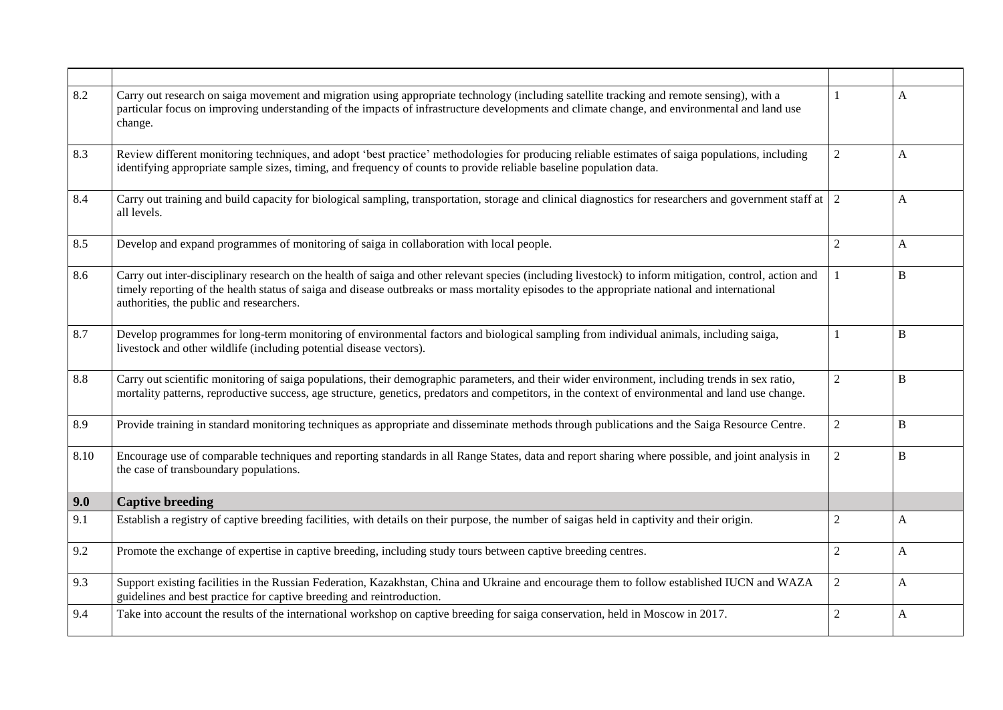| 8.2  | Carry out research on saiga movement and migration using appropriate technology (including satellite tracking and remote sensing), with a<br>particular focus on improving understanding of the impacts of infrastructure developments and climate change, and environmental and land use<br>change.                                                 | $\mathbf{1}$   | A            |
|------|------------------------------------------------------------------------------------------------------------------------------------------------------------------------------------------------------------------------------------------------------------------------------------------------------------------------------------------------------|----------------|--------------|
| 8.3  | Review different monitoring techniques, and adopt 'best practice' methodologies for producing reliable estimates of saiga populations, including<br>identifying appropriate sample sizes, timing, and frequency of counts to provide reliable baseline population data.                                                                              | $\overline{c}$ | A            |
| 8.4  | Carry out training and build capacity for biological sampling, transportation, storage and clinical diagnostics for researchers and government staff at 2<br>all levels.                                                                                                                                                                             |                | A            |
| 8.5  | Develop and expand programmes of monitoring of saiga in collaboration with local people.                                                                                                                                                                                                                                                             | $\overline{c}$ | A            |
| 8.6  | Carry out inter-disciplinary research on the health of saiga and other relevant species (including livestock) to inform mitigation, control, action and<br>timely reporting of the health status of saiga and disease outbreaks or mass mortality episodes to the appropriate national and international<br>authorities, the public and researchers. | $\mathbf{1}$   | B            |
| 8.7  | Develop programmes for long-term monitoring of environmental factors and biological sampling from individual animals, including saiga,<br>livestock and other wildlife (including potential disease vectors).                                                                                                                                        |                | B            |
| 8.8  | Carry out scientific monitoring of saiga populations, their demographic parameters, and their wider environment, including trends in sex ratio,<br>mortality patterns, reproductive success, age structure, genetics, predators and competitors, in the context of environmental and land use change.                                                | $\overline{c}$ | B            |
| 8.9  | Provide training in standard monitoring techniques as appropriate and disseminate methods through publications and the Saiga Resource Centre.                                                                                                                                                                                                        | $\mathbf{2}$   | B            |
| 8.10 | Encourage use of comparable techniques and reporting standards in all Range States, data and report sharing where possible, and joint analysis in<br>the case of transboundary populations.                                                                                                                                                          | $\overline{2}$ | B            |
| 9.0  | <b>Captive breeding</b>                                                                                                                                                                                                                                                                                                                              |                |              |
| 9.1  | Establish a registry of captive breeding facilities, with details on their purpose, the number of saigas held in captivity and their origin.                                                                                                                                                                                                         | $\overline{2}$ | A            |
| 9.2  | Promote the exchange of expertise in captive breeding, including study tours between captive breeding centres.                                                                                                                                                                                                                                       | $\overline{2}$ | $\mathbf{A}$ |
| 9.3  | Support existing facilities in the Russian Federation, Kazakhstan, China and Ukraine and encourage them to follow established IUCN and WAZA<br>guidelines and best practice for captive breeding and reintroduction.                                                                                                                                 | $\overline{c}$ | A            |
| 9.4  | Take into account the results of the international workshop on captive breeding for saiga conservation, held in Moscow in 2017.                                                                                                                                                                                                                      | $\overline{2}$ | $\mathbf{A}$ |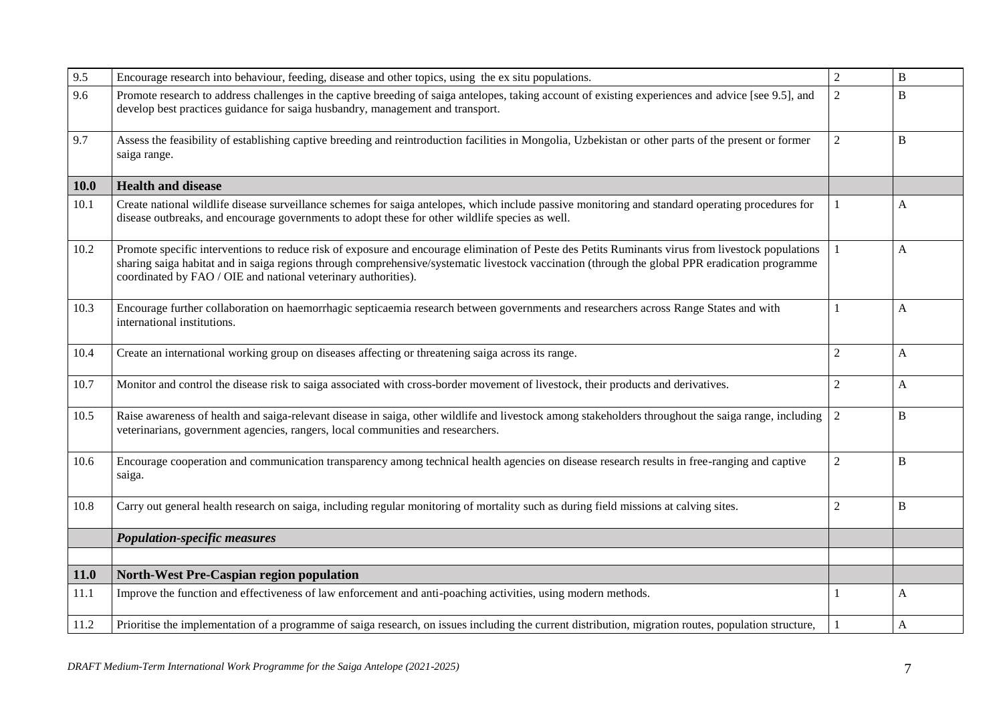| 9.5         | Encourage research into behaviour, feeding, disease and other topics, using the ex situ populations.                                                                                                                                                                                                                                                                    | $\overline{2}$ | $\bf{B}$    |
|-------------|-------------------------------------------------------------------------------------------------------------------------------------------------------------------------------------------------------------------------------------------------------------------------------------------------------------------------------------------------------------------------|----------------|-------------|
| 9.6         | Promote research to address challenges in the captive breeding of saiga antelopes, taking account of existing experiences and advice [see 9.5], and<br>develop best practices guidance for saiga husbandry, management and transport.                                                                                                                                   | $\overline{2}$ | B           |
| 9.7         | Assess the feasibility of establishing captive breeding and reintroduction facilities in Mongolia, Uzbekistan or other parts of the present or former<br>saiga range.                                                                                                                                                                                                   | $\overline{2}$ | B           |
| <b>10.0</b> | <b>Health and disease</b>                                                                                                                                                                                                                                                                                                                                               |                |             |
| 10.1        | Create national wildlife disease surveillance schemes for saiga antelopes, which include passive monitoring and standard operating procedures for<br>disease outbreaks, and encourage governments to adopt these for other wildlife species as well.                                                                                                                    |                | A           |
| 10.2        | Promote specific interventions to reduce risk of exposure and encourage elimination of Peste des Petits Ruminants virus from livestock populations<br>sharing saiga habitat and in saiga regions through comprehensive/systematic livestock vaccination (through the global PPR eradication programme<br>coordinated by FAO / OIE and national veterinary authorities). |                | A           |
| 10.3        | Encourage further collaboration on haemorrhagic septicaemia research between governments and researchers across Range States and with<br>international institutions.                                                                                                                                                                                                    |                | A           |
| 10.4        | Create an international working group on diseases affecting or threatening saiga across its range.                                                                                                                                                                                                                                                                      | 2              | A           |
| 10.7        | Monitor and control the disease risk to saiga associated with cross-border movement of livestock, their products and derivatives.                                                                                                                                                                                                                                       | $\overline{2}$ | $\mathbf A$ |
| 10.5        | Raise awareness of health and saiga-relevant disease in saiga, other wildlife and livestock among stakeholders throughout the saiga range, including<br>veterinarians, government agencies, rangers, local communities and researchers.                                                                                                                                 | 2              | B           |
| 10.6        | Encourage cooperation and communication transparency among technical health agencies on disease research results in free-ranging and captive<br>saiga.                                                                                                                                                                                                                  | $\overline{2}$ | B           |
| 10.8        | Carry out general health research on saiga, including regular monitoring of mortality such as during field missions at calving sites.                                                                                                                                                                                                                                   | $\overline{2}$ | $\bf{B}$    |
|             | <b>Population-specific measures</b>                                                                                                                                                                                                                                                                                                                                     |                |             |
| 11.0        | <b>North-West Pre-Caspian region population</b>                                                                                                                                                                                                                                                                                                                         |                |             |
| 11.1        | Improve the function and effectiveness of law enforcement and anti-poaching activities, using modern methods.                                                                                                                                                                                                                                                           |                | A           |
| 11.2        | Prioritise the implementation of a programme of saiga research, on issues including the current distribution, migration routes, population structure,                                                                                                                                                                                                                   |                | A           |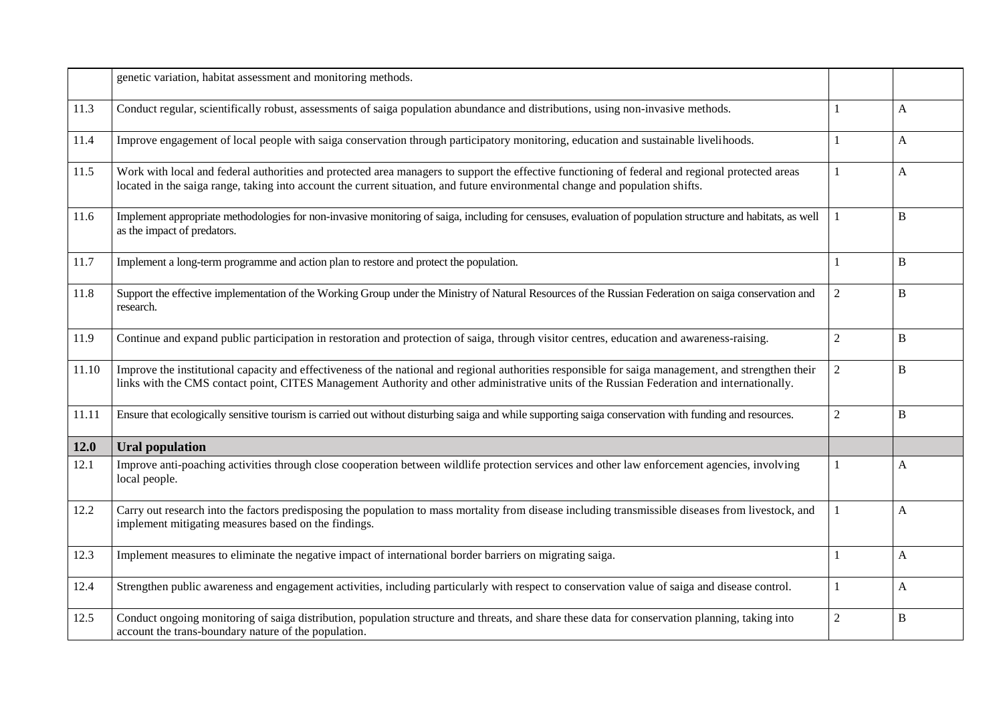|       | genetic variation, habitat assessment and monitoring methods.                                                                                                                                                                                                                                      |                |             |
|-------|----------------------------------------------------------------------------------------------------------------------------------------------------------------------------------------------------------------------------------------------------------------------------------------------------|----------------|-------------|
| 11.3  | Conduct regular, scientifically robust, assessments of saiga population abundance and distributions, using non-invasive methods.                                                                                                                                                                   |                | A           |
| 11.4  | Improve engagement of local people with saiga conservation through participatory monitoring, education and sustainable livelihoods.                                                                                                                                                                |                | A           |
| 11.5  | Work with local and federal authorities and protected area managers to support the effective functioning of federal and regional protected areas<br>located in the saiga range, taking into account the current situation, and future environmental change and population shifts.                  | 1              | A           |
| 11.6  | Implement appropriate methodologies for non-invasive monitoring of saiga, including for censuses, evaluation of population structure and habitats, as well<br>as the impact of predators.                                                                                                          |                | B           |
| 11.7  | Implement a long-term programme and action plan to restore and protect the population.                                                                                                                                                                                                             |                | B           |
| 11.8  | Support the effective implementation of the Working Group under the Ministry of Natural Resources of the Russian Federation on saiga conservation and<br>research.                                                                                                                                 | $\overline{2}$ | B           |
| 11.9  | Continue and expand public participation in restoration and protection of saiga, through visitor centres, education and awareness-raising.                                                                                                                                                         | $\mathbf{2}$   | B           |
| 11.10 | Improve the institutional capacity and effectiveness of the national and regional authorities responsible for saiga management, and strengthen their<br>links with the CMS contact point, CITES Management Authority and other administrative units of the Russian Federation and internationally. | $\mathbf{2}$   | B           |
| 11.11 | Ensure that ecologically sensitive tourism is carried out without disturbing saiga and while supporting saiga conservation with funding and resources.                                                                                                                                             | $\mathbf{2}$   | $\mathbf B$ |
| 12.0  | <b>Ural population</b>                                                                                                                                                                                                                                                                             |                |             |
| 12.1  | Improve anti-poaching activities through close cooperation between wildlife protection services and other law enforcement agencies, involving<br>local people.                                                                                                                                     | 1              | A           |
| 12.2  | Carry out research into the factors predisposing the population to mass mortality from disease including transmissible diseases from livestock, and<br>implement mitigating measures based on the findings.                                                                                        |                | A           |
| 12.3  | Implement measures to eliminate the negative impact of international border barriers on migrating saiga.                                                                                                                                                                                           |                | A           |
| 12.4  | Strengthen public awareness and engagement activities, including particularly with respect to conservation value of saiga and disease control.                                                                                                                                                     | 1              | A           |
| 12.5  | Conduct ongoing monitoring of saiga distribution, population structure and threats, and share these data for conservation planning, taking into<br>account the trans-boundary nature of the population.                                                                                            | $\overline{2}$ | B           |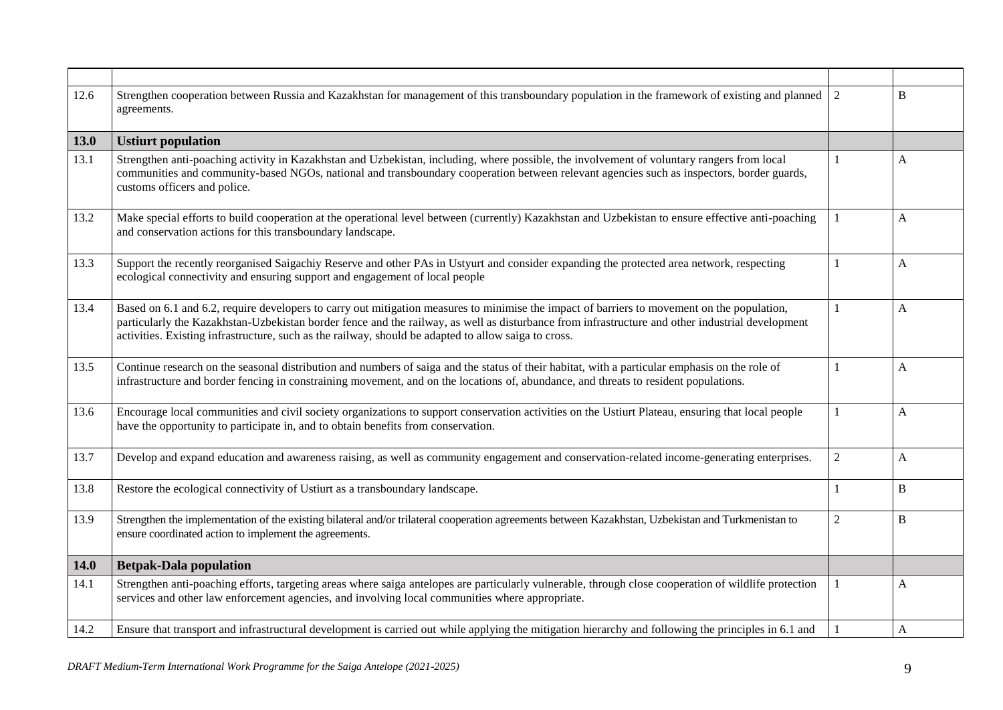| 12.6 | Strengthen cooperation between Russia and Kazakhstan for management of this transboundary population in the framework of existing and planned<br>agreements.                                                                                                                                                                                                                                            | 2              | B        |
|------|---------------------------------------------------------------------------------------------------------------------------------------------------------------------------------------------------------------------------------------------------------------------------------------------------------------------------------------------------------------------------------------------------------|----------------|----------|
| 13.0 | <b>Ustiurt population</b>                                                                                                                                                                                                                                                                                                                                                                               |                |          |
| 13.1 | Strengthen anti-poaching activity in Kazakhstan and Uzbekistan, including, where possible, the involvement of voluntary rangers from local<br>communities and community-based NGOs, national and transboundary cooperation between relevant agencies such as inspectors, border guards,<br>customs officers and police.                                                                                 | 1              | A        |
| 13.2 | Make special efforts to build cooperation at the operational level between (currently) Kazakhstan and Uzbekistan to ensure effective anti-poaching<br>and conservation actions for this transboundary landscape.                                                                                                                                                                                        | $\mathbf{1}$   | A        |
| 13.3 | Support the recently reorganised Saigachiy Reserve and other PAs in Ustyurt and consider expanding the protected area network, respecting<br>ecological connectivity and ensuring support and engagement of local people                                                                                                                                                                                | 1              | A        |
| 13.4 | Based on 6.1 and 6.2, require developers to carry out mitigation measures to minimise the impact of barriers to movement on the population,<br>particularly the Kazakhstan-Uzbekistan border fence and the railway, as well as disturbance from infrastructure and other industrial development<br>activities. Existing infrastructure, such as the railway, should be adapted to allow saiga to cross. | 1              | A        |
| 13.5 | Continue research on the seasonal distribution and numbers of saiga and the status of their habitat, with a particular emphasis on the role of<br>infrastructure and border fencing in constraining movement, and on the locations of, abundance, and threats to resident populations.                                                                                                                  | $\mathbf{1}$   | A        |
| 13.6 | Encourage local communities and civil society organizations to support conservation activities on the Ustiurt Plateau, ensuring that local people<br>have the opportunity to participate in, and to obtain benefits from conservation.                                                                                                                                                                  | 1              | A        |
| 13.7 | Develop and expand education and awareness raising, as well as community engagement and conservation-related income-generating enterprises.                                                                                                                                                                                                                                                             | $\overline{2}$ | A        |
| 13.8 | Restore the ecological connectivity of Ustiurt as a transboundary landscape.                                                                                                                                                                                                                                                                                                                            | 1              | $\bf{B}$ |
| 13.9 | Strengthen the implementation of the existing bilateral and/or trilateral cooperation agreements between Kazakhstan, Uzbekistan and Turkmenistan to<br>ensure coordinated action to implement the agreements.                                                                                                                                                                                           | $\sqrt{2}$     | $\bf{B}$ |
| 14.0 | <b>Betpak-Dala population</b>                                                                                                                                                                                                                                                                                                                                                                           |                |          |
| 14.1 | Strengthen anti-poaching efforts, targeting areas where saiga antelopes are particularly vulnerable, through close cooperation of wildlife protection<br>services and other law enforcement agencies, and involving local communities where appropriate.                                                                                                                                                | 1              | A        |
| 14.2 | Ensure that transport and infrastructural development is carried out while applying the mitigation hierarchy and following the principles in 6.1 and                                                                                                                                                                                                                                                    |                | A        |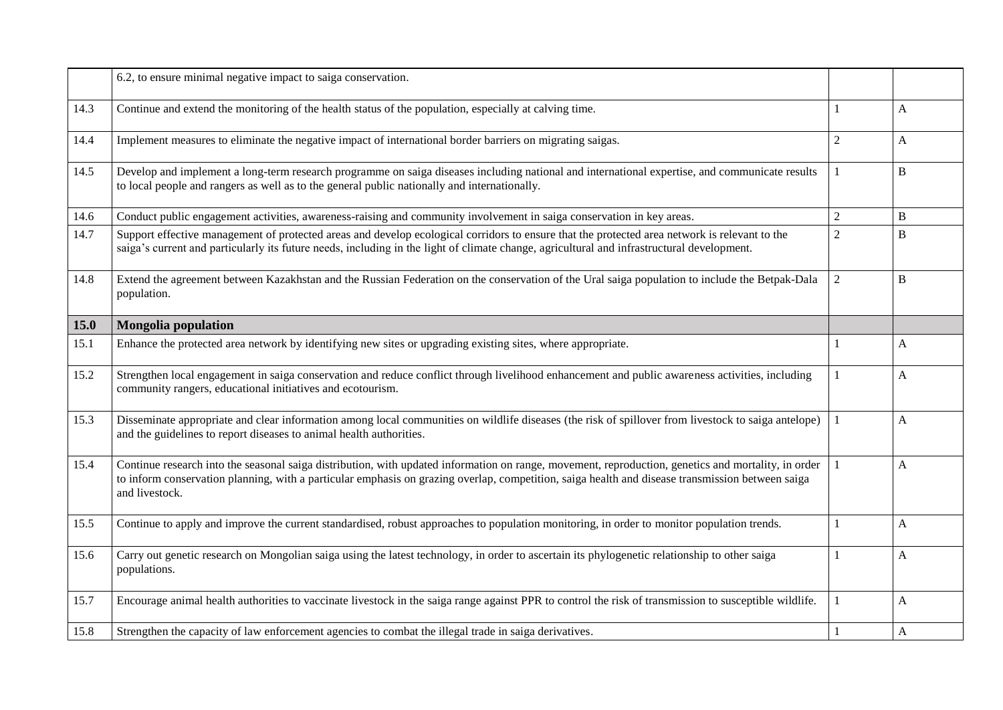|      | 6.2, to ensure minimal negative impact to saiga conservation.                                                                                                                                                                                                                                                             |                |              |
|------|---------------------------------------------------------------------------------------------------------------------------------------------------------------------------------------------------------------------------------------------------------------------------------------------------------------------------|----------------|--------------|
| 14.3 | Continue and extend the monitoring of the health status of the population, especially at calving time.                                                                                                                                                                                                                    |                | $\mathbf{A}$ |
| 14.4 | Implement measures to eliminate the negative impact of international border barriers on migrating saigas.                                                                                                                                                                                                                 | 2              | A            |
| 14.5 | Develop and implement a long-term research programme on saiga diseases including national and international expertise, and communicate results<br>to local people and rangers as well as to the general public nationally and internationally.                                                                            | 1              | B            |
| 14.6 | Conduct public engagement activities, awareness-raising and community involvement in saiga conservation in key areas.                                                                                                                                                                                                     | $\overline{2}$ | B            |
| 14.7 | Support effective management of protected areas and develop ecological corridors to ensure that the protected area network is relevant to the<br>saiga's current and particularly its future needs, including in the light of climate change, agricultural and infrastructural development.                               | $\overline{2}$ | B            |
| 14.8 | Extend the agreement between Kazakhstan and the Russian Federation on the conservation of the Ural saiga population to include the Betpak-Dala<br>population.                                                                                                                                                             | $\overline{2}$ | B            |
| 15.0 | <b>Mongolia population</b>                                                                                                                                                                                                                                                                                                |                |              |
| 15.1 | Enhance the protected area network by identifying new sites or upgrading existing sites, where appropriate.                                                                                                                                                                                                               |                | $\mathbf{A}$ |
| 15.2 | Strengthen local engagement in saiga conservation and reduce conflict through livelihood enhancement and public awareness activities, including<br>community rangers, educational initiatives and ecotourism.                                                                                                             |                | $\mathbf{A}$ |
| 15.3 | Disseminate appropriate and clear information among local communities on wildlife diseases (the risk of spillover from livestock to saiga antelope)<br>and the guidelines to report diseases to animal health authorities.                                                                                                |                | A            |
| 15.4 | Continue research into the seasonal saiga distribution, with updated information on range, movement, reproduction, genetics and mortality, in order<br>to inform conservation planning, with a particular emphasis on grazing overlap, competition, saiga health and disease transmission between saiga<br>and livestock. |                | $\mathbf{A}$ |
| 15.5 | Continue to apply and improve the current standardised, robust approaches to population monitoring, in order to monitor population trends.                                                                                                                                                                                | $\mathbf{1}$   | $\mathbf{A}$ |
| 15.6 | Carry out genetic research on Mongolian saiga using the latest technology, in order to ascertain its phylogenetic relationship to other saiga<br>populations.                                                                                                                                                             |                | A            |
| 15.7 | Encourage animal health authorities to vaccinate livestock in the saiga range against PPR to control the risk of transmission to susceptible wildlife.                                                                                                                                                                    |                | A            |
| 15.8 | Strengthen the capacity of law enforcement agencies to combat the illegal trade in saiga derivatives.                                                                                                                                                                                                                     |                | A            |